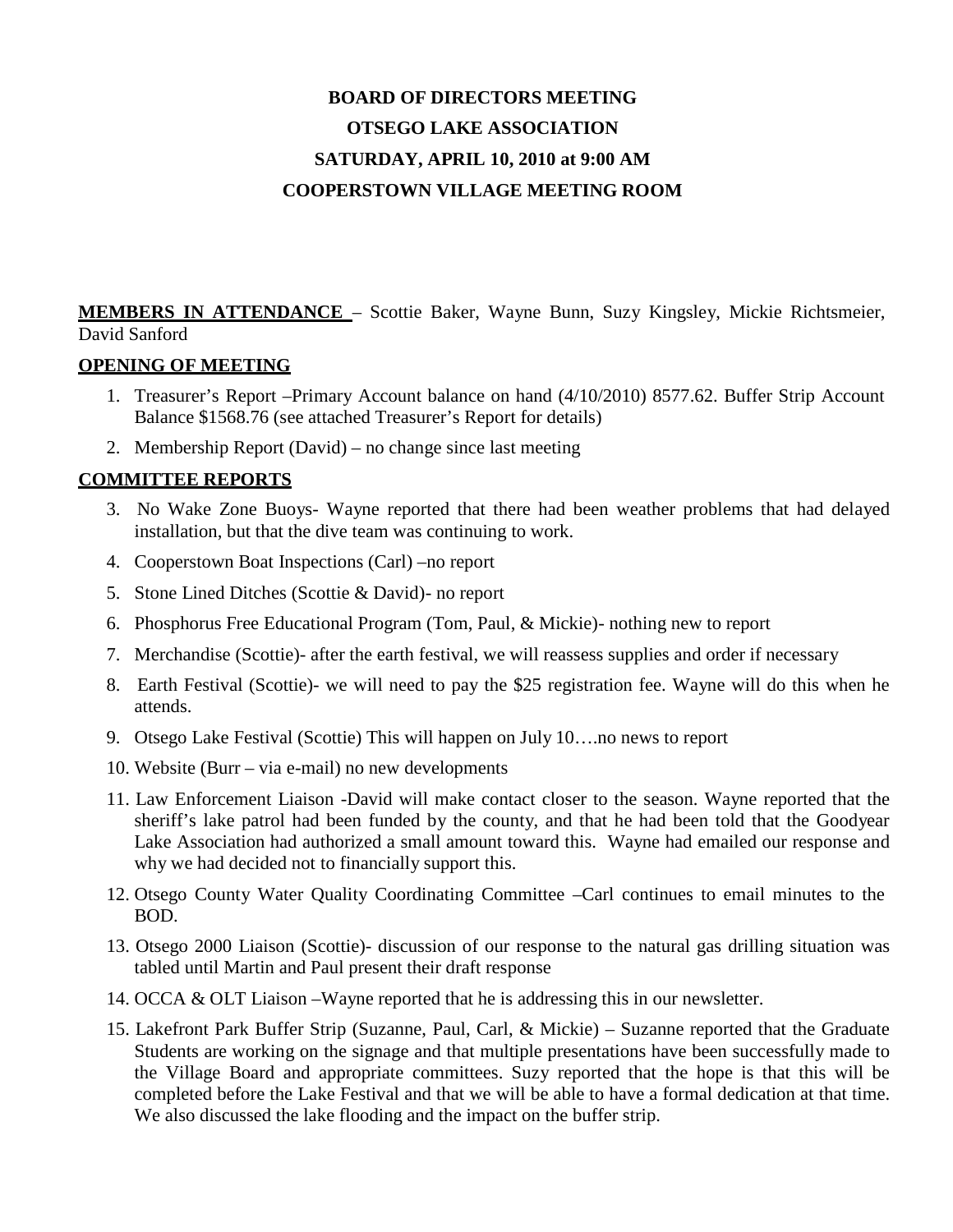# **BOARD OF DIRECTORS MEETING OTSEGO LAKE ASSOCIATION SATURDAY, APRIL 10, 2010 at 9:00 AM COOPERSTOWN VILLAGE MEETING ROOM**

**MEMBERS IN ATTENDANCE** – Scottie Baker, Wayne Bunn, Suzy Kingsley, Mickie Richtsmeier, David Sanford

# **OPENING OF MEETING**

- 1. Treasurer's Report –Primary Account balance on hand (4/10/2010) 8577.62. Buffer Strip Account Balance \$1568.76 (see attached Treasurer's Report for details)
- 2. Membership Report (David) no change since last meeting

# **COMMITTEE REPORTS**

- 3. No Wake Zone Buoys- Wayne reported that there had been weather problems that had delayed installation, but that the dive team was continuing to work.
- 4. Cooperstown Boat Inspections (Carl) –no report
- 5. Stone Lined Ditches (Scottie & David)- no report
- 6. Phosphorus Free Educational Program (Tom, Paul, & Mickie)- nothing new to report
- 7. Merchandise (Scottie)- after the earth festival, we will reassess supplies and order if necessary
- 8. Earth Festival (Scottie)- we will need to pay the \$25 registration fee. Wayne will do this when he attends.
- 9. Otsego Lake Festival (Scottie) This will happen on July 10….no news to report
- 10. Website (Burr via e-mail) no new developments
- 11. Law Enforcement Liaison -David will make contact closer to the season. Wayne reported that the sheriff's lake patrol had been funded by the county, and that he had been told that the Goodyear Lake Association had authorized a small amount toward this. Wayne had emailed our response and why we had decided not to financially support this.
- 12. Otsego County Water Quality Coordinating Committee –Carl continues to email minutes to the BOD.
- 13. Otsego 2000 Liaison (Scottie)- discussion of our response to the natural gas drilling situation was tabled until Martin and Paul present their draft response
- 14. OCCA & OLT Liaison –Wayne reported that he is addressing this in our newsletter.
- 15. Lakefront Park Buffer Strip (Suzanne, Paul, Carl, & Mickie) Suzanne reported that the Graduate Students are working on the signage and that multiple presentations have been successfully made to the Village Board and appropriate committees. Suzy reported that the hope is that this will be completed before the Lake Festival and that we will be able to have a formal dedication at that time. We also discussed the lake flooding and the impact on the buffer strip.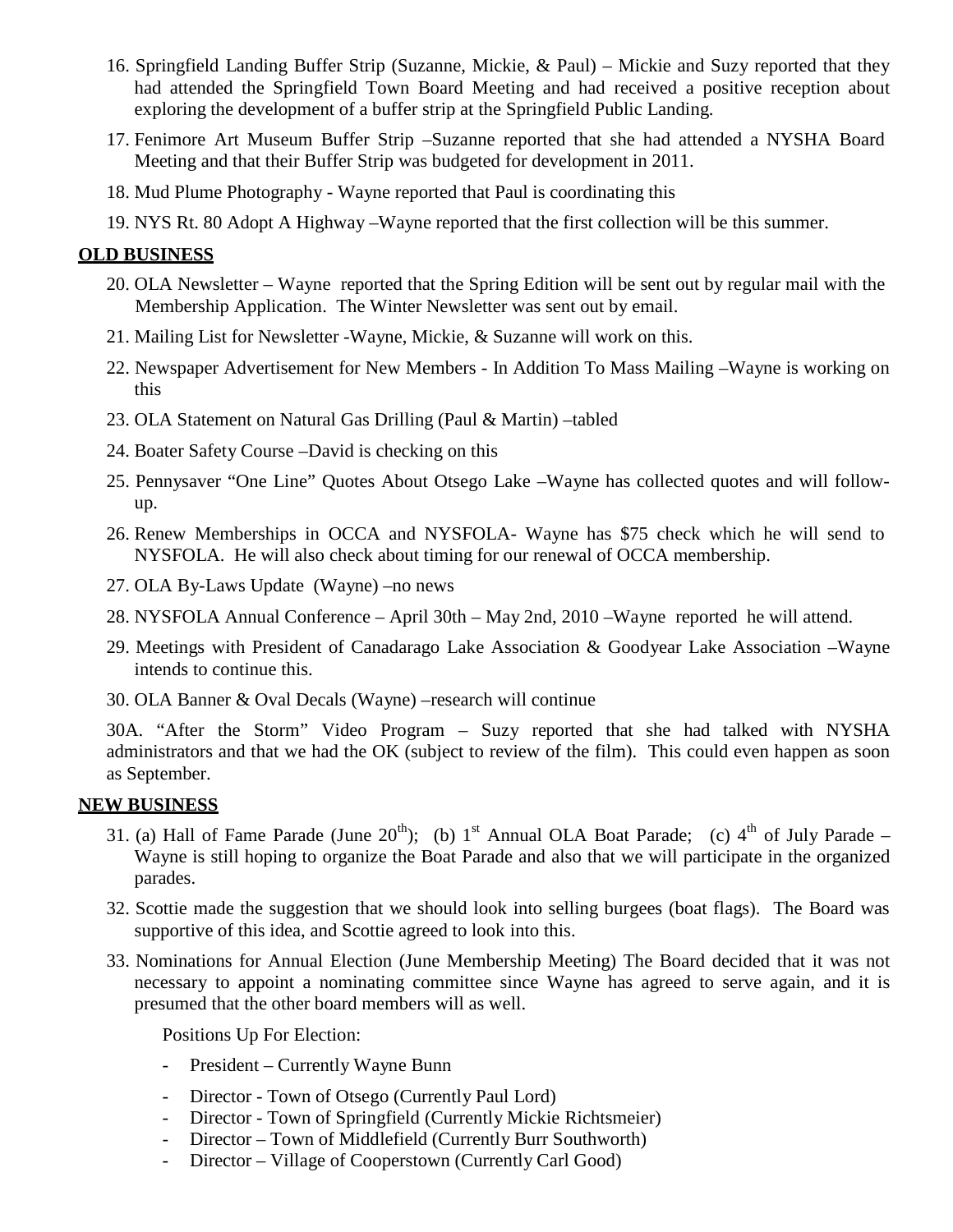- 16. Springfield Landing Buffer Strip (Suzanne, Mickie, & Paul) Mickie and Suzy reported that they had attended the Springfield Town Board Meeting and had received a positive reception about exploring the development of a buffer strip at the Springfield Public Landing.
- 17. Fenimore Art Museum Buffer Strip –Suzanne reported that she had attended a NYSHA Board Meeting and that their Buffer Strip was budgeted for development in 2011.
- 18. Mud Plume Photography Wayne reported that Paul is coordinating this
- 19. NYS Rt. 80 Adopt A Highway –Wayne reported that the first collection will be this summer.

#### **OLD BUSINESS**

- 20. OLA Newsletter Wayne reported that the Spring Edition will be sent out by regular mail with the Membership Application. The Winter Newsletter was sent out by email.
- 21. Mailing List for Newsletter -Wayne, Mickie, & Suzanne will work on this.
- 22. Newspaper Advertisement for New Members In Addition To Mass Mailing –Wayne is working on this
- 23. OLA Statement on Natural Gas Drilling (Paul & Martin) –tabled
- 24. Boater Safety Course –David is checking on this
- 25. Pennysaver "One Line" Quotes About Otsego Lake –Wayne has collected quotes and will followup.
- 26. Renew Memberships in OCCA and NYSFOLA- Wayne has \$75 check which he will send to NYSFOLA. He will also check about timing for our renewal of OCCA membership.
- 27. OLA By-Laws Update (Wayne) –no news
- 28. NYSFOLA Annual Conference April 30th May 2nd, 2010 –Wayne reported he will attend.
- 29. Meetings with President of Canadarago Lake Association & Goodyear Lake Association –Wayne intends to continue this.
- 30. OLA Banner & Oval Decals (Wayne) –research will continue

30A. "After the Storm" Video Program – Suzy reported that she had talked with NYSHA administrators and that we had the OK (subject to review of the film). This could even happen as soon as September.

#### **NEW BUSINESS**

- 31. (a) Hall of Fame Parade (June  $20^{th}$ ); (b) 1<sup>st</sup> Annual OLA Boat Parade; (c) 4<sup>th</sup> of July Parade Wayne is still hoping to organize the Boat Parade and also that we will participate in the organized parades.
- 32. Scottie made the suggestion that we should look into selling burgees (boat flags). The Board was supportive of this idea, and Scottie agreed to look into this.
- 33. Nominations for Annual Election (June Membership Meeting) The Board decided that it was not necessary to appoint a nominating committee since Wayne has agreed to serve again, and it is presumed that the other board members will as well.

Positions Up For Election:

- President Currently Wayne Bunn
- Director Town of Otsego (Currently Paul Lord)
- Director Town of Springfield (Currently Mickie Richtsmeier)
- Director Town of Middlefield (Currently Burr Southworth)
- Director Village of Cooperstown (Currently Carl Good)